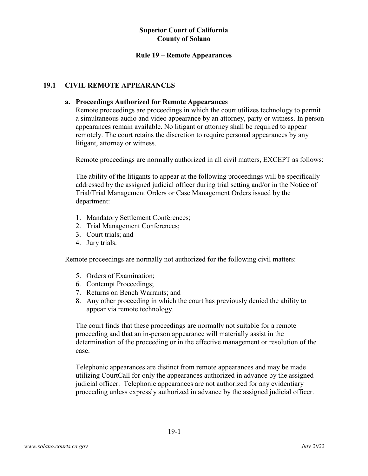## **Rule 19 – Remote Appearances**

# **19.1 CIVIL REMOTE APPEARANCES**

## **a. Proceedings Authorized for Remote Appearances**

Remote proceedings are proceedings in which the court utilizes technology to permit a simultaneous audio and video appearance by an attorney, party or witness. In person appearances remain available. No litigant or attorney shall be required to appear remotely. The court retains the discretion to require personal appearances by any litigant, attorney or witness.

Remote proceedings are normally authorized in all civil matters, EXCEPT as follows:

The ability of the litigants to appear at the following proceedings will be specifically addressed by the assigned judicial officer during trial setting and/or in the Notice of Trial/Trial Management Orders or Case Management Orders issued by the department:

- 1. Mandatory Settlement Conferences;
- 2. Trial Management Conferences;
- 3. Court trials; and
- 4. Jury trials.

Remote proceedings are normally not authorized for the following civil matters:

- 5. Orders of Examination;
- 6. Contempt Proceedings;
- 7. Returns on Bench Warrants; and
- 8. Any other proceeding in which the court has previously denied the ability to appear via remote technology.

The court finds that these proceedings are normally not suitable for a remote proceeding and that an in-person appearance will materially assist in the determination of the proceeding or in the effective management or resolution of the case.

Telephonic appearances are distinct from remote appearances and may be made utilizing CourtCall for only the appearances authorized in advance by the assigned judicial officer. Telephonic appearances are not authorized for any evidentiary proceeding unless expressly authorized in advance by the assigned judicial officer.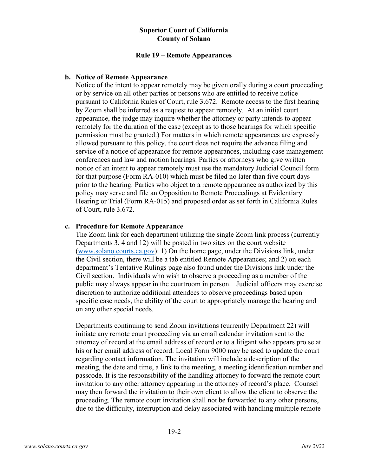#### **Rule 19 – Remote Appearances**

#### **b. Notice of Remote Appearance**

Notice of the intent to appear remotely may be given orally during a court proceeding or by service on all other parties or persons who are entitled to receive notice pursuant to California Rules of Court, rule 3.672. Remote access to the first hearing by Zoom shall be inferred as a request to appear remotely. At an initial court appearance, the judge may inquire whether the attorney or party intends to appear remotely for the duration of the case (except as to those hearings for which specific permission must be granted.) For matters in which remote appearances are expressly allowed pursuant to this policy, the court does not require the advance filing and service of a notice of appearance for remote appearances, including case management conferences and law and motion hearings. Parties or attorneys who give written notice of an intent to appear remotely must use the mandatory Judicial Council form for that purpose (Form RA-010) which must be filed no later than five court days prior to the hearing. Parties who object to a remote appearance as authorized by this policy may serve and file an Opposition to Remote Proceedings at Evidentiary Hearing or Trial (Form RA-015) and proposed order as set forth in California Rules of Court, rule 3.672.

#### **c. Procedure for Remote Appearance**

The Zoom link for each department utilizing the single Zoom link process (currently Departments 3, 4 and 12) will be posted in two sites on the court website [\(www.solano.courts.ca.gov\)](http://www.solano.courts.ca.gov/): 1) On the home page, under the Divisions link, under the Civil section, there will be a tab entitled Remote Appearances; and 2) on each department's Tentative Rulings page also found under the Divisions link under the Civil section. Individuals who wish to observe a proceeding as a member of the public may always appear in the courtroom in person. Judicial officers may exercise discretion to authorize additional attendees to observe proceedings based upon specific case needs, the ability of the court to appropriately manage the hearing and on any other special needs.

Departments continuing to send Zoom invitations (currently Department 22) will initiate any remote court proceeding via an email calendar invitation sent to the attorney of record at the email address of record or to a litigant who appears pro se at his or her email address of record. Local Form 9000 may be used to update the court regarding contact information. The invitation will include a description of the meeting, the date and time, a link to the meeting, a meeting identification number and passcode. It is the responsibility of the handling attorney to forward the remote court invitation to any other attorney appearing in the attorney of record's place. Counsel may then forward the invitation to their own client to allow the client to observe the proceeding. The remote court invitation shall not be forwarded to any other persons, due to the difficulty, interruption and delay associated with handling multiple remote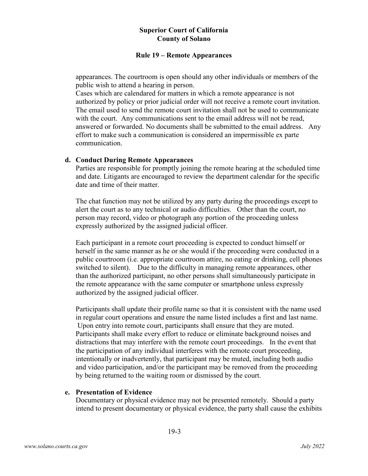#### **Rule 19 – Remote Appearances**

appearances. The courtroom is open should any other individuals or members of the public wish to attend a hearing in person.

Cases which are calendared for matters in which a remote appearance is not authorized by policy or prior judicial order will not receive a remote court invitation. The email used to send the remote court invitation shall not be used to communicate with the court. Any communications sent to the email address will not be read, answered or forwarded. No documents shall be submitted to the email address. Any effort to make such a communication is considered an impermissible ex parte communication.

#### **d. Conduct During Remote Appearances**

Parties are responsible for promptly joining the remote hearing at the scheduled time and date. Litigants are encouraged to review the department calendar for the specific date and time of their matter.

The chat function may not be utilized by any party during the proceedings except to alert the court as to any technical or audio difficulties. Other than the court, no person may record, video or photograph any portion of the proceeding unless expressly authorized by the assigned judicial officer.

Each participant in a remote court proceeding is expected to conduct himself or herself in the same manner as he or she would if the proceeding were conducted in a public courtroom (i.e. appropriate courtroom attire, no eating or drinking, cell phones switched to silent). Due to the difficulty in managing remote appearances, other than the authorized participant, no other persons shall simultaneously participate in the remote appearance with the same computer or smartphone unless expressly authorized by the assigned judicial officer.

Participants shall update their profile name so that it is consistent with the name used in regular court operations and ensure the name listed includes a first and last name. Upon entry into remote court, participants shall ensure that they are muted. Participants shall make every effort to reduce or eliminate background noises and distractions that may interfere with the remote court proceedings. In the event that the participation of any individual interferes with the remote court proceeding, intentionally or inadvertently, that participant may be muted, including both audio and video participation, and/or the participant may be removed from the proceeding by being returned to the waiting room or dismissed by the court.

## **e. Presentation of Evidence**

Documentary or physical evidence may not be presented remotely. Should a party intend to present documentary or physical evidence, the party shall cause the exhibits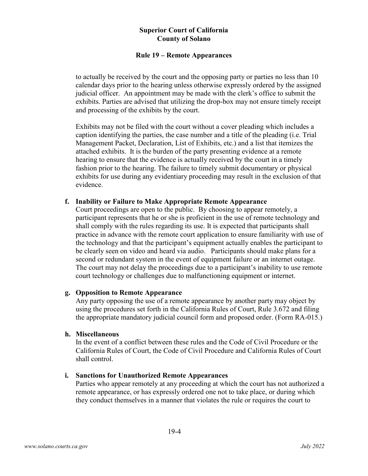#### **Rule 19 – Remote Appearances**

to actually be received by the court and the opposing party or parties no less than 10 calendar days prior to the hearing unless otherwise expressly ordered by the assigned judicial officer. An appointment may be made with the clerk's office to submit the exhibits. Parties are advised that utilizing the drop-box may not ensure timely receipt and processing of the exhibits by the court.

Exhibits may not be filed with the court without a cover pleading which includes a caption identifying the parties, the case number and a title of the pleading (i.e. Trial Management Packet, Declaration, List of Exhibits, etc.) and a list that itemizes the attached exhibits. It is the burden of the party presenting evidence at a remote hearing to ensure that the evidence is actually received by the court in a timely fashion prior to the hearing. The failure to timely submit documentary or physical exhibits for use during any evidentiary proceeding may result in the exclusion of that evidence.

## **f. Inability or Failure to Make Appropriate Remote Appearance**

Court proceedings are open to the public. By choosing to appear remotely, a participant represents that he or she is proficient in the use of remote technology and shall comply with the rules regarding its use. It is expected that participants shall practice in advance with the remote court application to ensure familiarity with use of the technology and that the participant's equipment actually enables the participant to be clearly seen on video and heard via audio. Participants should make plans for a second or redundant system in the event of equipment failure or an internet outage. The court may not delay the proceedings due to a participant's inability to use remote court technology or challenges due to malfunctioning equipment or internet.

## **g. Opposition to Remote Appearance**

Any party opposing the use of a remote appearance by another party may object by using the procedures set forth in the California Rules of Court, Rule 3.672 and filing the appropriate mandatory judicial council form and proposed order. (Form RA-015.)

#### **h. Miscellaneous**

In the event of a conflict between these rules and the Code of Civil Procedure or the California Rules of Court, the Code of Civil Procedure and California Rules of Court shall control.

## **i. Sanctions for Unauthorized Remote Appearances**

Parties who appear remotely at any proceeding at which the court has not authorized a remote appearance, or has expressly ordered one not to take place, or during which they conduct themselves in a manner that violates the rule or requires the court to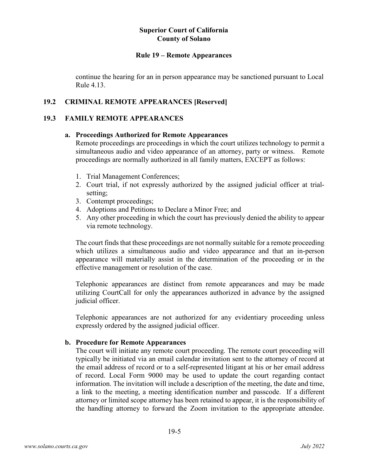#### **Rule 19 – Remote Appearances**

continue the hearing for an in person appearance may be sanctioned pursuant to Local Rule 4.13.

## **19.2 CRIMINAL REMOTE APPEARANCES [Reserved]**

#### **19.3 FAMILY REMOTE APPEARANCES**

#### **a. Proceedings Authorized for Remote Appearances**

Remote proceedings are proceedings in which the court utilizes technology to permit a simultaneous audio and video appearance of an attorney, party or witness. Remote proceedings are normally authorized in all family matters, EXCEPT as follows:

- 1. Trial Management Conferences;
- 2. Court trial, if not expressly authorized by the assigned judicial officer at trialsetting;
- 3. Contempt proceedings;
- 4. Adoptions and Petitions to Declare a Minor Free; and
- 5. Any other proceeding in which the court has previously denied the ability to appear via remote technology.

The court finds that these proceedings are not normally suitable for a remote proceeding which utilizes a simultaneous audio and video appearance and that an in-person appearance will materially assist in the determination of the proceeding or in the effective management or resolution of the case.

Telephonic appearances are distinct from remote appearances and may be made utilizing CourtCall for only the appearances authorized in advance by the assigned judicial officer.

Telephonic appearances are not authorized for any evidentiary proceeding unless expressly ordered by the assigned judicial officer.

#### **b. Procedure for Remote Appearances**

The court will initiate any remote court proceeding. The remote court proceeding will typically be initiated via an email calendar invitation sent to the attorney of record at the email address of record or to a self-represented litigant at his or her email address of record. Local Form 9000 may be used to update the court regarding contact information. The invitation will include a description of the meeting, the date and time, a link to the meeting, a meeting identification number and passcode. If a different attorney or limited scope attorney has been retained to appear, it is the responsibility of the handling attorney to forward the Zoom invitation to the appropriate attendee.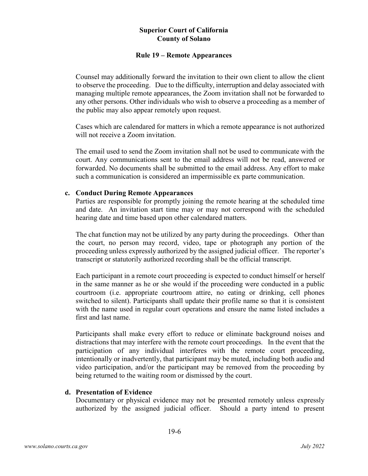#### **Rule 19 – Remote Appearances**

Counsel may additionally forward the invitation to their own client to allow the client to observe the proceeding. Due to the difficulty, interruption and delay associated with managing multiple remote appearances, the Zoom invitation shall not be forwarded to any other persons. Other individuals who wish to observe a proceeding as a member of the public may also appear remotely upon request.

Cases which are calendared for matters in which a remote appearance is not authorized will not receive a Zoom invitation.

The email used to send the Zoom invitation shall not be used to communicate with the court. Any communications sent to the email address will not be read, answered or forwarded. No documents shall be submitted to the email address. Any effort to make such a communication is considered an impermissible ex parte communication.

#### **c. Conduct During Remote Appearances**

Parties are responsible for promptly joining the remote hearing at the scheduled time and date. An invitation start time may or may not correspond with the scheduled hearing date and time based upon other calendared matters.

The chat function may not be utilized by any party during the proceedings. Other than the court, no person may record, video, tape or photograph any portion of the proceeding unless expressly authorized by the assigned judicial officer. The reporter's transcript or statutorily authorized recording shall be the official transcript.

Each participant in a remote court proceeding is expected to conduct himself or herself in the same manner as he or she would if the proceeding were conducted in a public courtroom (i.e. appropriate courtroom attire, no eating or drinking, cell phones switched to silent). Participants shall update their profile name so that it is consistent with the name used in regular court operations and ensure the name listed includes a first and last name.

Participants shall make every effort to reduce or eliminate background noises and distractions that may interfere with the remote court proceedings. In the event that the participation of any individual interferes with the remote court proceeding, intentionally or inadvertently, that participant may be muted, including both audio and video participation, and/or the participant may be removed from the proceeding by being returned to the waiting room or dismissed by the court.

## **d. Presentation of Evidence**

Documentary or physical evidence may not be presented remotely unless expressly authorized by the assigned judicial officer. Should a party intend to present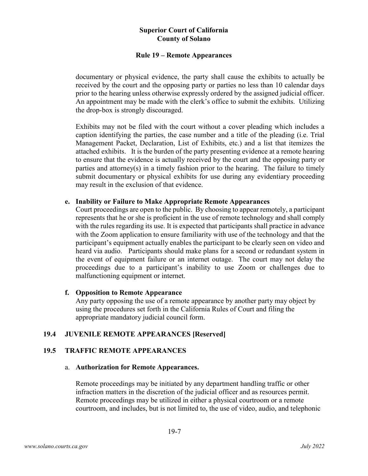#### **Rule 19 – Remote Appearances**

documentary or physical evidence, the party shall cause the exhibits to actually be received by the court and the opposing party or parties no less than 10 calendar days prior to the hearing unless otherwise expressly ordered by the assigned judicial officer. An appointment may be made with the clerk's office to submit the exhibits. Utilizing the drop-box is strongly discouraged.

Exhibits may not be filed with the court without a cover pleading which includes a caption identifying the parties, the case number and a title of the pleading (i.e. Trial Management Packet, Declaration, List of Exhibits, etc.) and a list that itemizes the attached exhibits. It is the burden of the party presenting evidence at a remote hearing to ensure that the evidence is actually received by the court and the opposing party or parties and attorney(s) in a timely fashion prior to the hearing. The failure to timely submit documentary or physical exhibits for use during any evidentiary proceeding may result in the exclusion of that evidence.

#### **e. Inability or Failure to Make Appropriate Remote Appearances**

Court proceedings are open to the public. By choosing to appear remotely, a participant represents that he or she is proficient in the use of remote technology and shall comply with the rules regarding its use. It is expected that participants shall practice in advance with the Zoom application to ensure familiarity with use of the technology and that the participant's equipment actually enables the participant to be clearly seen on video and heard via audio. Participants should make plans for a second or redundant system in the event of equipment failure or an internet outage. The court may not delay the proceedings due to a participant's inability to use Zoom or challenges due to malfunctioning equipment or internet.

## **f. Opposition to Remote Appearance**

Any party opposing the use of a remote appearance by another party may object by using the procedures set forth in the California Rules of Court and filing the appropriate mandatory judicial council form.

# **19.4 JUVENILE REMOTE APPEARANCES [Reserved]**

# **19.5 TRAFFIC REMOTE APPEARANCES**

#### a. **Authorization for Remote Appearances.**

Remote proceedings may be initiated by any department handling traffic or other infraction matters in the discretion of the judicial officer and as resources permit. Remote proceedings may be utilized in either a physical courtroom or a remote courtroom, and includes, but is not limited to, the use of video, audio, and telephonic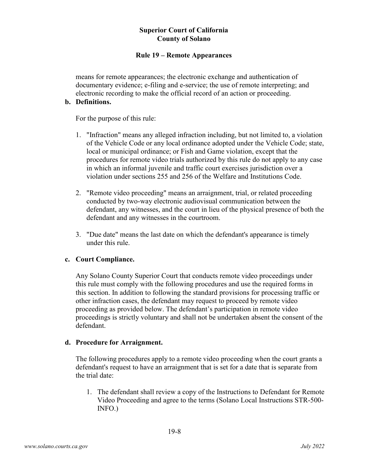## **Rule 19 – Remote Appearances**

means for remote appearances; the electronic exchange and authentication of documentary evidence; e-filing and e-service; the use of remote interpreting; and electronic recording to make the official record of an action or proceeding.

### **b. Definitions.**

For the purpose of this rule:

- 1. "Infraction" means any alleged infraction including, but not limited to, a violation of the Vehicle Code or any local ordinance adopted under the Vehicle Code; state, local or municipal ordinance; or Fish and Game violation, except that the procedures for remote video trials authorized by this rule do not apply to any case in which an informal juvenile and traffic court exercises jurisdiction over a violation under sections 255 and 256 of the Welfare and Institutions Code.
- 2. "Remote video proceeding" means an arraignment, trial, or related proceeding conducted by two-way electronic audiovisual communication between the defendant, any witnesses, and the court in lieu of the physical presence of both the defendant and any witnesses in the courtroom.
- 3. "Due date" means the last date on which the defendant's appearance is timely under this rule.

## **c. Court Compliance.**

Any Solano County Superior Court that conducts remote video proceedings under this rule must comply with the following procedures and use the required forms in this section. In addition to following the standard provisions for processing traffic or other infraction cases, the defendant may request to proceed by remote video proceeding as provided below. The defendant's participation in remote video proceedings is strictly voluntary and shall not be undertaken absent the consent of the defendant.

## **d. Procedure for Arraignment.**

The following procedures apply to a remote video proceeding when the court grants a defendant's request to have an arraignment that is set for a date that is separate from the trial date:

1. The defendant shall review a copy of the Instructions to Defendant for Remote Video Proceeding and agree to the terms (Solano Local Instructions STR-500- INFO.)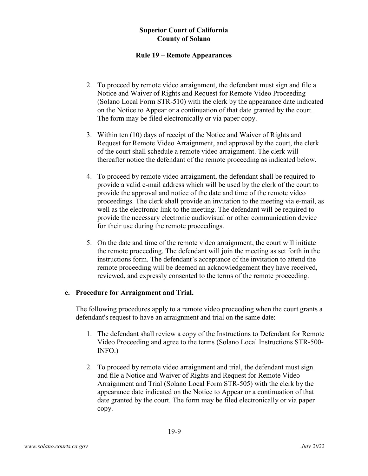## **Rule 19 – Remote Appearances**

- 2. To proceed by remote video arraignment, the defendant must sign and file a Notice and Waiver of Rights and Request for Remote Video Proceeding (Solano Local Form STR-510) with the clerk by the appearance date indicated on the Notice to Appear or a continuation of that date granted by the court. The form may be filed electronically or via paper copy.
- 3. Within ten (10) days of receipt of the Notice and Waiver of Rights and Request for Remote Video Arraignment, and approval by the court, the clerk of the court shall schedule a remote video arraignment. The clerk will thereafter notice the defendant of the remote proceeding as indicated below.
- 4. To proceed by remote video arraignment, the defendant shall be required to provide a valid e-mail address which will be used by the clerk of the court to provide the approval and notice of the date and time of the remote video proceedings. The clerk shall provide an invitation to the meeting via e-mail, as well as the electronic link to the meeting. The defendant will be required to provide the necessary electronic audiovisual or other communication device for their use during the remote proceedings.
- 5. On the date and time of the remote video arraignment, the court will initiate the remote proceeding. The defendant will join the meeting as set forth in the instructions form. The defendant's acceptance of the invitation to attend the remote proceeding will be deemed an acknowledgement they have received, reviewed, and expressly consented to the terms of the remote proceeding.

## **e. Procedure for Arraignment and Trial.**

The following procedures apply to a remote video proceeding when the court grants a defendant's request to have an arraignment and trial on the same date:

- 1. The defendant shall review a copy of the Instructions to Defendant for Remote Video Proceeding and agree to the terms (Solano Local Instructions STR-500- INFO.)
- 2. To proceed by remote video arraignment and trial, the defendant must sign and file a Notice and Waiver of Rights and Request for Remote Video Arraignment and Trial (Solano Local Form STR-505) with the clerk by the appearance date indicated on the Notice to Appear or a continuation of that date granted by the court. The form may be filed electronically or via paper copy.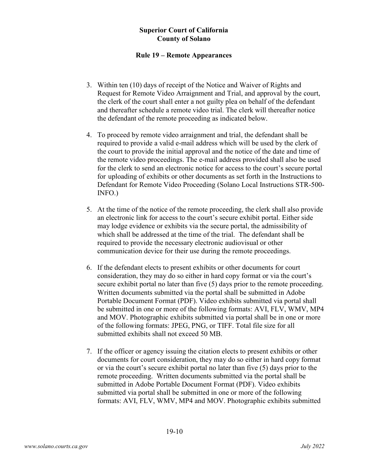#### **Rule 19 – Remote Appearances**

- 3. Within ten (10) days of receipt of the Notice and Waiver of Rights and Request for Remote Video Arraignment and Trial, and approval by the court, the clerk of the court shall enter a not guilty plea on behalf of the defendant and thereafter schedule a remote video trial. The clerk will thereafter notice the defendant of the remote proceeding as indicated below.
- 4. To proceed by remote video arraignment and trial, the defendant shall be required to provide a valid e-mail address which will be used by the clerk of the court to provide the initial approval and the notice of the date and time of the remote video proceedings. The e-mail address provided shall also be used for the clerk to send an electronic notice for access to the court's secure portal for uploading of exhibits or other documents as set forth in the Instructions to Defendant for Remote Video Proceeding (Solano Local Instructions STR-500- INFO.)
- 5. At the time of the notice of the remote proceeding, the clerk shall also provide an electronic link for access to the court's secure exhibit portal. Either side may lodge evidence or exhibits via the secure portal, the admissibility of which shall be addressed at the time of the trial.The defendant shall be required to provide the necessary electronic audiovisual or other communication device for their use during the remote proceedings.
- 6. If the defendant elects to present exhibits or other documents for court consideration, they may do so either in hard copy format or via the court's secure exhibit portal no later than five (5) days prior to the remote proceeding. Written documents submitted via the portal shall be submitted in Adobe Portable Document Format (PDF). Video exhibits submitted via portal shall be submitted in one or more of the following formats: AVI, FLV, WMV, MP4 and MOV. Photographic exhibits submitted via portal shall be in one or more of the following formats: JPEG, PNG, or TIFF. Total file size for all submitted exhibits shall not exceed 50 MB.
- 7. If the officer or agency issuing the citation elects to present exhibits or other documents for court consideration, they may do so either in hard copy format or via the court's secure exhibit portal no later than five (5) days prior to the remote proceeding. Written documents submitted via the portal shall be submitted in Adobe Portable Document Format (PDF). Video exhibits submitted via portal shall be submitted in one or more of the following formats: AVI, FLV, WMV, MP4 and MOV. Photographic exhibits submitted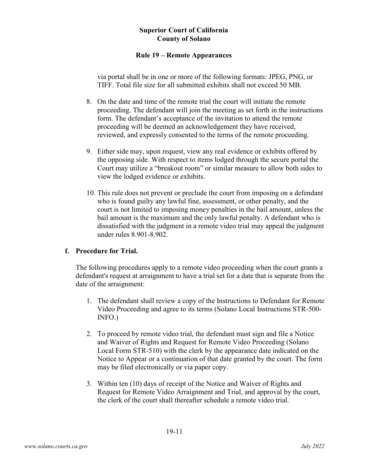## **Rule 19 – Remote Appearances**

via portal shall be in one or more of the following formats: JPEG, PNG, or TIFF. Total file size for all submitted exhibits shall not exceed 50 MB.

- 8. On the date and time of the remote trial the court will initiate the remote proceeding. The defendant will join the meeting as set forth in the instructions form. The defendant's acceptance of the invitation to attend the remote proceeding will be deemed an acknowledgement they have received, reviewed, and expressly consented to the terms of the remote proceeding.
- 9. Either side may, upon request, view any real evidence or exhibits offered by the opposing side. With respect to items lodged through the secure portal the Court may utilize a "breakout room" or similar measure to allow both sides to view the lodged evidence or exhibits.
- 10. This rule does not prevent or preclude the court from imposing on a defendant who is found guilty any lawful fine, assessment, or other penalty, and the court is not limited to imposing money penalties in the bail amount, unless the bail amount is the maximum and the only lawful penalty. A defendant who is dissatisfied with the judgment in a remote video trial may appeal the judgment under rules 8.901-8.902.

# **f. Procedure for Trial.**

The following procedures apply to a remote video proceeding when the court grants a defendant's request at arraignment to have a trial set for a date that is separate from the date of the arraignment:

- 1. The defendant shall review a copy of the Instructions to Defendant for Remote Video Proceeding and agree to its terms (Solano Local Instructions STR-500- INFO.)
- 2. To proceed by remote video trial, the defendant must sign and file a Notice and Waiver of Rights and Request for Remote Video Proceeding (Solano Local Form STR-510) with the clerk by the appearance date indicated on the Notice to Appear or a continuation of that date granted by the court. The form may be filed electronically or via paper copy.
- 3. Within ten (10) days of receipt of the Notice and Waiver of Rights and Request for Remote Video Arraignment and Trial, and approval by the court, the clerk of the court shall thereafter schedule a remote video trial.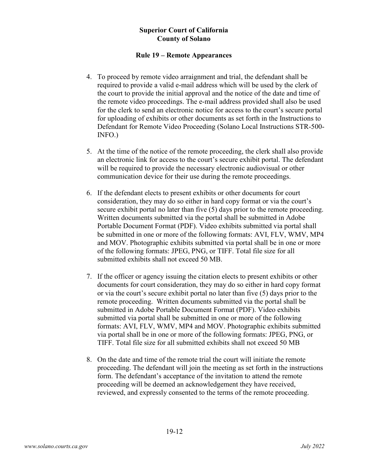### **Rule 19 – Remote Appearances**

- 4. To proceed by remote video arraignment and trial, the defendant shall be required to provide a valid e-mail address which will be used by the clerk of the court to provide the initial approval and the notice of the date and time of the remote video proceedings. The e-mail address provided shall also be used for the clerk to send an electronic notice for access to the court's secure portal for uploading of exhibits or other documents as set forth in the Instructions to Defendant for Remote Video Proceeding (Solano Local Instructions STR-500- INFO.)
- 5. At the time of the notice of the remote proceeding, the clerk shall also provide an electronic link for access to the court's secure exhibit portal. The defendant will be required to provide the necessary electronic audiovisual or other communication device for their use during the remote proceedings.
- 6. If the defendant elects to present exhibits or other documents for court consideration, they may do so either in hard copy format or via the court's secure exhibit portal no later than five (5) days prior to the remote proceeding. Written documents submitted via the portal shall be submitted in Adobe Portable Document Format (PDF). Video exhibits submitted via portal shall be submitted in one or more of the following formats: AVI, FLV, WMV, MP4 and MOV. Photographic exhibits submitted via portal shall be in one or more of the following formats: JPEG, PNG, or TIFF. Total file size for all submitted exhibits shall not exceed 50 MB.
- 7. If the officer or agency issuing the citation elects to present exhibits or other documents for court consideration, they may do so either in hard copy format or via the court's secure exhibit portal no later than five (5) days prior to the remote proceeding. Written documents submitted via the portal shall be submitted in Adobe Portable Document Format (PDF). Video exhibits submitted via portal shall be submitted in one or more of the following formats: AVI, FLV, WMV, MP4 and MOV. Photographic exhibits submitted via portal shall be in one or more of the following formats: JPEG, PNG, or TIFF. Total file size for all submitted exhibits shall not exceed 50 MB
- 8. On the date and time of the remote trial the court will initiate the remote proceeding. The defendant will join the meeting as set forth in the instructions form. The defendant's acceptance of the invitation to attend the remote proceeding will be deemed an acknowledgement they have received, reviewed, and expressly consented to the terms of the remote proceeding.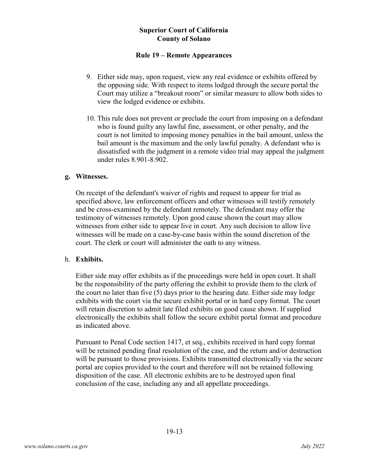### **Rule 19 – Remote Appearances**

- 9. Either side may, upon request, view any real evidence or exhibits offered by the opposing side. With respect to items lodged through the secure portal the Court may utilize a "breakout room" or similar measure to allow both sides to view the lodged evidence or exhibits.
- 10. This rule does not prevent or preclude the court from imposing on a defendant who is found guilty any lawful fine, assessment, or other penalty, and the court is not limited to imposing money penalties in the bail amount, unless the bail amount is the maximum and the only lawful penalty. A defendant who is dissatisfied with the judgment in a remote video trial may appeal the judgment under rules 8.901-8.902.

#### **g. Witnesses.**

On receipt of the defendant's waiver of rights and request to appear for trial as specified above, law enforcement officers and other witnesses will testify remotely and be cross-examined by the defendant remotely. The defendant may offer the testimony of witnesses remotely. Upon good cause shown the court may allow witnesses from either side to appear live in court. Any such decision to allow live witnesses will be made on a case-by-case basis within the sound discretion of the court. The clerk or court will administer the oath to any witness.

#### h. **Exhibits.**

Either side may offer exhibits as if the proceedings were held in open court. It shall be the responsibility of the party offering the exhibit to provide them to the clerk of the court no later than five (5) days prior to the hearing date. Either side may lodge exhibits with the court via the secure exhibit portal or in hard copy format. The court will retain discretion to admit late filed exhibits on good cause shown. If supplied electronically the exhibits shall follow the secure exhibit portal format and procedure as indicated above.

Pursuant to Penal Code section 1417, et seq., exhibits received in hard copy format will be retained pending final resolution of the case, and the return and/or destruction will be pursuant to those provisions. Exhibits transmitted electronically via the secure portal are copies provided to the court and therefore will not be retained following disposition of the case. All electronic exhibits are to be destroyed upon final conclusion of the case, including any and all appellate proceedings.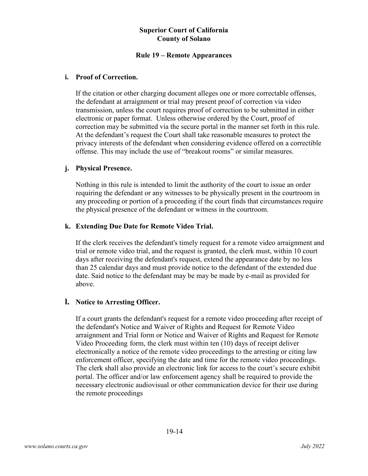## **Rule 19 – Remote Appearances**

### **i. Proof of Correction.**

If the citation or other charging document alleges one or more correctable offenses, the defendant at arraignment or trial may present proof of correction via video transmission, unless the court requires proof of correction to be submitted in either electronic or paper format. Unless otherwise ordered by the Court, proof of correction may be submitted via the secure portal in the manner set forth in this rule. At the defendant's request the Court shall take reasonable measures to protect the privacy interests of the defendant when considering evidence offered on a correctible offense. This may include the use of "breakout rooms" or similar measures.

## **j. Physical Presence.**

Nothing in this rule is intended to limit the authority of the court to issue an order requiring the defendant or any witnesses to be physically present in the courtroom in any proceeding or portion of a proceeding if the court finds that circumstances require the physical presence of the defendant or witness in the courtroom.

#### **k. Extending Due Date for Remote Video Trial.**

If the clerk receives the defendant's timely request for a remote video arraignment and trial or remote video trial, and the request is granted, the clerk must, within 10 court days after receiving the defendant's request, extend the appearance date by no less than 25 calendar days and must provide notice to the defendant of the extended due date. Said notice to the defendant may be may be made by e-mail as provided for above.

## **l. Notice to Arresting Officer.**

If a court grants the defendant's request for a remote video proceeding after receipt of the defendant's Notice and Waiver of Rights and Request for Remote Video arraignment and Trial form or Notice and Waiver of Rights and Request for Remote Video Proceeding form, the clerk must within ten (10) days of receipt deliver electronically a notice of the remote video proceedings to the arresting or citing law enforcement officer, specifying the date and time for the remote video proceedings. The clerk shall also provide an electronic link for access to the court's secure exhibit portal. The officer and/or law enforcement agency shall be required to provide the necessary electronic audiovisual or other communication device for their use during the remote proceedings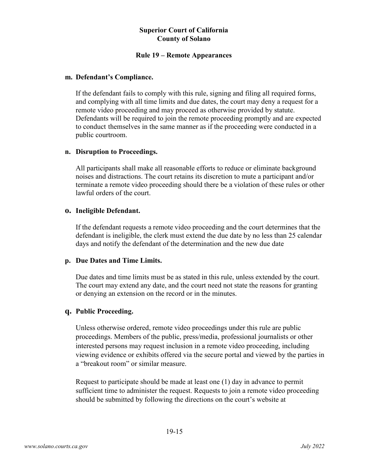## **Rule 19 – Remote Appearances**

#### **m. Defendant's Compliance.**

If the defendant fails to comply with this rule, signing and filing all required forms, and complying with all time limits and due dates, the court may deny a request for a remote video proceeding and may proceed as otherwise provided by statute. Defendants will be required to join the remote proceeding promptly and are expected to conduct themselves in the same manner as if the proceeding were conducted in a public courtroom.

#### **n. Disruption to Proceedings.**

All participants shall make all reasonable efforts to reduce or eliminate background noises and distractions. The court retains its discretion to mute a participant and/or terminate a remote video proceeding should there be a violation of these rules or other lawful orders of the court.

#### **o. Ineligible Defendant.**

If the defendant requests a remote video proceeding and the court determines that the defendant is ineligible, the clerk must extend the due date by no less than 25 calendar days and notify the defendant of the determination and the new due date

## **p. Due Dates and Time Limits.**

Due dates and time limits must be as stated in this rule, unless extended by the court. The court may extend any date, and the court need not state the reasons for granting or denying an extension on the record or in the minutes.

## **q. Public Proceeding.**

Unless otherwise ordered, remote video proceedings under this rule are public proceedings. Members of the public, press/media, professional journalists or other interested persons may request inclusion in a remote video proceeding, including viewing evidence or exhibits offered via the secure portal and viewed by the parties in a "breakout room" or similar measure.

Request to participate should be made at least one (1) day in advance to permit sufficient time to administer the request. Requests to join a remote video proceeding should be submitted by following the directions on the court's website at